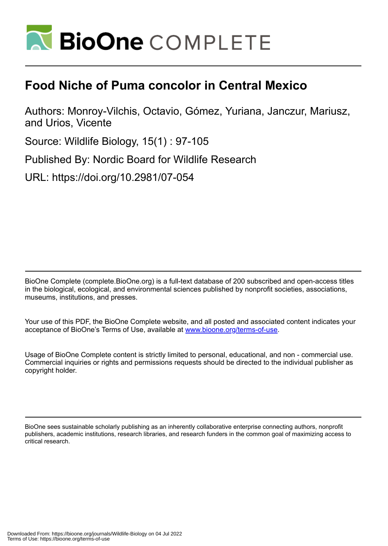

# **Food Niche of Puma concolor in Central Mexico**

Authors: Monroy-Vilchis, Octavio, Gómez, Yuriana, Janczur, Mariusz, and Urios, Vicente

Source: Wildlife Biology, 15(1) : 97-105

Published By: Nordic Board for Wildlife Research

URL: https://doi.org/10.2981/07-054

BioOne Complete (complete.BioOne.org) is a full-text database of 200 subscribed and open-access titles in the biological, ecological, and environmental sciences published by nonprofit societies, associations, museums, institutions, and presses.

Your use of this PDF, the BioOne Complete website, and all posted and associated content indicates your acceptance of BioOne's Terms of Use, available at www.bioone.org/terms-of-use.

Usage of BioOne Complete content is strictly limited to personal, educational, and non - commercial use. Commercial inquiries or rights and permissions requests should be directed to the individual publisher as copyright holder.

BioOne sees sustainable scholarly publishing as an inherently collaborative enterprise connecting authors, nonprofit publishers, academic institutions, research libraries, and research funders in the common goal of maximizing access to critical research.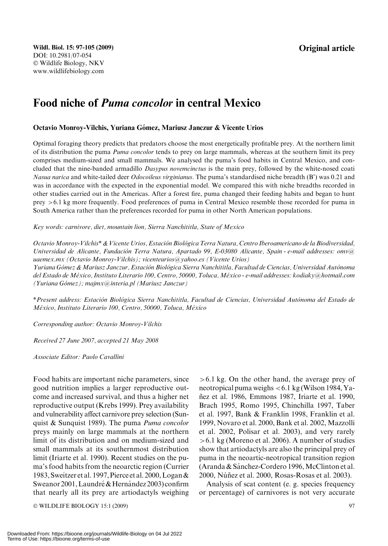Original article

## Food niche of Puma concolor in central Mexico

#### Octavio Monroy-Vilchis, Yuriana Gómez, Mariusz Janczur & Vicente Urios

Optimal foraging theory predicts that predators choose the most energetically profitable prey. At the northern limit of its distribution the puma *Puma concolor* tends to prey on large mammals, whereas at the southern limit its prey comprises medium-sized and small mammals. We analysed the puma's food habits in Central Mexico, and concluded that the nine-banded armadillo Dasypus novemcinctus is the main prey, followed by the white-nosed coati Nasua narica and white-tailed deer Odocoileus virginianus. The puma's standardised niche breadth (B') was 0.21 and was in accordance with the expected in the exponential model. We compared this with niche breadths recorded in other studies carried out in the Americas. After a forest fire, puma changed their feeding habits and began to hunt prey >6.1 kg more frequently. Food preferences of puma in Central Mexico resemble those recorded for puma in South America rather than the preferences recorded for puma in other North American populations.

Key words: carnivore, diet, mountain lion, Sierra Nanchititla, State of Mexico

Octavio Monroy-Vilchis\* & Vicente Urios, Estacio´n Biolo´gica Terra Natura, Centro Iberoamericano de la Biodiversidad, Universidad de Alicante, Fundación Terra Natura, Apartado 99, E-03080 Alicante, Spain - e-mail addresses: omv@ uaemex.mx (Octavio Monroy-Vilchis); vicenteurios@yahoo.es (Vicente Urios)

Yuriana Gómez & Mariusz Janczur, Estación Biológica Sierra Nanchititla, Facultad de Ciencias, Universidad Autónoma del Estado de México, Instituto Literario 100, Centro, 50000, Toluca, México - e-mail addresses: kodiaky@hotmail.com  $(Yuriana Gómez); majmx@interia.pl (Mariusz Janczur)$ 

\*Present address: Estación Biológica Sierra Nanchititla, Facultad de Ciencias, Universidad Autónoma del Estado de México, Instituto Literario 100, Centro, 50000, Toluca, México

Corresponding author: Octavio Monroy-Vilchis

Received 27 June 2007, accepted 21 May 2008

Associate Editor: Paolo Cavallini

Food habits are important niche parameters, since good nutrition implies a larger reproductive outcome and increased survival, and thus a higher net reproductive output (Krebs 1999). Prey availability and vulnerability affect carnivore prey selection (Sunquist & Sunquist 1989). The puma Puma concolor preys mainly on large mammals at the northern limit of its distribution and on medium-sized and small mammals at its southernmost distribution limit (Iriarte et al. 1990). Recent studies on the puma's food habits from the neoarctic region (Currier 1983, Sweitzer et al. 1997, Pierce et al. 2000,Logan & Sweanor 2001, Laundré & Hernández 2003) confirm that nearly all its prey are artiodactyls weighing

© WILDLIFE BIOLOGY 15:1 (2009) 97

>6.1 kg. On the other hand, the average prey of neotropical puma weighs <6.1 kg (Wilson 1984, Yan˜ez et al. 1986, Emmons 1987, Iriarte et al. 1990, Brach 1995, Romo 1995, Chinchilla 1997, Taber et al. 1997, Bank & Franklin 1998, Franklin et al. 1999, Novaro et al. 2000, Bank et al. 2002, Mazzolli et al. 2002, Polisar et al. 2003), and very rarely >6.1 kg (Moreno et al. 2006). A number of studies show that artiodactyls are also the principal prey of puma in the neoartic-neotropical transition region (Aranda & Sánchez-Cordero 1996, McClinton et al. 2000, Núñez et al. 2000, Rosas-Rosas et al. 2003).

Analysis of scat content (e. g. species frequency or percentage) of carnivores is not very accurate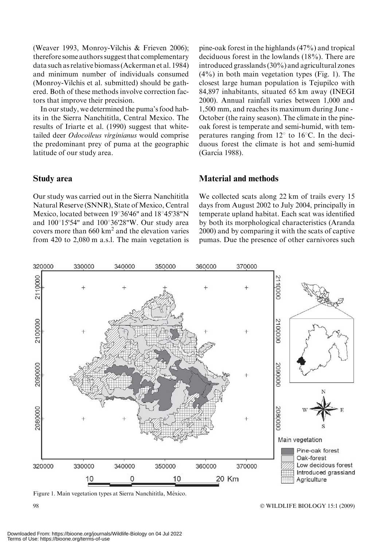(Weaver 1993, Monroy-Vilchis & Frieven 2006); therefore some authors suggest that complementary data such as relative biomass (Ackerman et al. 1984) and minimum number of individuals consumed (Monroy-Vilchis et al. submitted) should be gathered. Both of these methods involve correction factors that improve their precision.

In our study, we determined the puma's food habits in the Sierra Nanchititla, Central Mexico. The results of Iriarte et al. (1990) suggest that whitetailed deer Odocoileus virginianus would comprise the predominant prey of puma at the geographic latitude of our study area.

#### Study area

Our study was carried out in the Sierra Nanchititla Natural Reserve (SNNR), State of Mexico, Central Mexico, located between  $19^{\circ}36'46''$  and  $18^{\circ}45'38''N$ and  $100^{\circ}15'54"$  and  $100^{\circ}36'28"W$ . Our study area covers more than  $660 \text{ km}^2$  and the elevation varies from 420 to 2,080 m a.s.l. The main vegetation is pine-oak forest in the highlands (47%) and tropical deciduous forest in the lowlands (18%). There are introduced grasslands (30%) and agricultural zones (4%) in both main vegetation types (Fig. 1). The closest large human population is Tejupilco with 84,897 inhabitants, situated 65 km away (INEGI 2000). Annual rainfall varies between 1,000 and 1,500 mm, and reaches its maximum during June - October (the rainy season). The climate in the pineoak forest is temperate and semi-humid, with temperatures ranging from  $12^{\circ}$  to 16<sup>o</sup>C. In the deciduous forest the climate is hot and semi-humid (García 1988).

#### Material and methods

We collected scats along 22 km of trails every 15 days from August 2002 to July 2004, principally in temperate upland habitat. Each scat was identified by both its morphological characteristics (Aranda 2000) and by comparing it with the scats of captive pumas. Due the presence of other carnivores such



Figure 1. Main vegetation types at Sierra Nanchititla, México.

WILDLIFE BIOLOGY 15:1 (2009)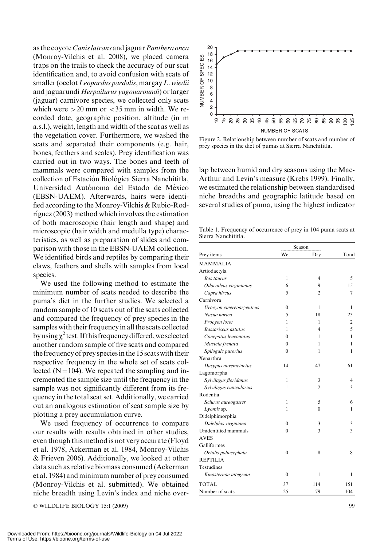as the coyote Canis latrans and jaguar Panthera onca (Monroy-Vilchis et al. 2008), we placed camera traps on the trails to check the accuracy of our scat identification and, to avoid confusion with scats of smaller (ocelot Leopardus pardalis, margay L. wiedii and jaguarundi Herpailurus yagouaroundi) or larger (jaguar) carnivore species, we collected only scats which were  $>20$  mm or  $<$ 35 mm in width. We recorded date, geographic position, altitude (in m a.s.l.), weight, length and width of the scat as well as the vegetation cover. Furthermore, we washed the scats and separated their components (e.g. hair, bones, feathers and scales). Prey identification was carried out in two ways. The bones and teeth of mammals were compared with samples from the collection of Estación Biológica Sierra Nanchititla, Universidad Autónoma del Estado de México (EBSN-UAEM). Afterwards, hairs were identified according to the Monroy-Vilchis & Rubio-Rod $riguez (2003)$  method which involves the estimation of both macroscopic (hair length and shape) and microscopic (hair width and medulla type) characteristics, as well as preparation of slides and comparison with those in the EBSN-UAEM collection. We identified birds and reptiles by comparing their claws, feathers and shells with samples from local species.

We used the following method to estimate the minimum number of scats needed to describe the puma's diet in the further studies. We selected a random sample of 10 scats out of the scats collected and compared the frequency of prey species in the samples with their frequencyin all the scats collected by using  $\chi^2$  test. If this frequency differed, we selected another random sample of five scats and compared the frequency of prey speciesin the 15 scatswith their respective frequency in the whole set of scats collected ( $N=104$ ). We repeated the sampling and incremented the sample size until the frequency in the sample was not significantly different from its frequency in the total scat set. Additionally, we carried out an analogous estimation of scat sample size by plotting a prey accumulation curve.

We used frequency of occurrence to compare our results with results obtained in other studies, even though this method is not very accurate (Floyd et al. 1978, Ackerman et al. 1984, Monroy-Vilchis & Frieven 2006). Additionally, we looked at other data such as relative biomass consumed (Ackerman et al. 1984) and minimum number of prey consumed (Monroy-Vilchis et al. submitted). We obtained niche breadth using Levin's index and niche over-

© WILDLIFE BIOLOGY 15:1 (2009) 99



Figure 2. Relationship between number of scats and number of prey species in the diet of pumas at Sierra Nanchititla.

lap between humid and dry seasons using the Mac-Arthur and Levin's measure (Krebs 1999). Finally, we estimated the relationship between standardised niche breadths and geographic latitude based on several studies of puma, using the highest indicator

Table 1. Frequency of occurrence of prey in 104 puma scats at Sierra Nanchititla.

|                          | Season           |                          |       |
|--------------------------|------------------|--------------------------|-------|
| Prey items               | Wet              | Dry                      | Total |
| <b>MAMMALIA</b>          |                  |                          |       |
| Artiodactyla             |                  |                          |       |
| <b>Bos</b> taurus        | 1                | 4                        | 5     |
| Odocoileus virginianus   | 6                | 9                        | 15    |
| Capra hircus             | 5                | $\overline{c}$           | 7     |
| Carnívora                |                  |                          |       |
| Urocyon cinereoargenteus | $\mathbf{0}$     | 1                        | 1     |
| Nasua narica             | 5                | 18                       | 23    |
| Procyon lotor            | 1                | 1                        | 2     |
| Bassariscus astutus      | 1                | $\overline{\mathcal{A}}$ | 5     |
| Conepatus leuconotus     | $\theta$         | 1                        | 1     |
| Mustela frenata          | $\theta$         | 1                        | 1     |
| Spilogale putorius       | $\theta$         | 1                        | 1     |
| Xenarthra                |                  |                          |       |
| Dasypus novemcinctus     | 14               | 47                       | 61    |
| Lagomorpha               |                  |                          |       |
| Sylvilagus floridanus    | 1                | 3                        | 4     |
| Sylvilagus cunicularius  | 1                | $\overline{c}$           | 3     |
| Rodentia                 |                  |                          |       |
| Sciurus aureogaster      | 1                | 5                        | 6     |
| Lyomis sp.               | 1                | $\theta$                 | 1     |
| Didelphimorphia          |                  |                          |       |
| Didelphis virginiana     | $\mathbf{0}$     | 3                        | 3     |
| Unidentified mammals     | $\theta$         | 3                        | 3     |
| <b>AVES</b>              |                  |                          |       |
| Galliformes              |                  |                          |       |
| Ortalis poliocephala     | $\theta$         | 8                        | 8     |
| <b>REPTILIA</b>          |                  |                          |       |
| Testudines               |                  |                          |       |
| Kinosternon integrum     | $\boldsymbol{0}$ | 1                        | 1     |
| TOTAL                    | 37               | 114                      | 151   |
| Number of scats          | 25               | 79                       | 104   |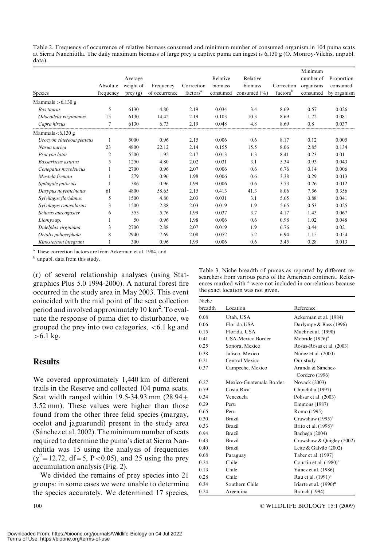Table 2. Frequency of occurrence of relative biomass consumed and minimum number of consumed organism in 104 puma scats at Sierra Nanchititla. The daily maximum biomass of large prey a captive puma can ingest is 6,130 g (O. Monroy-Vilchis, unpubl. data).

|                          |                |           |               |                      |                     |                     |                      | Minimum   |             |
|--------------------------|----------------|-----------|---------------|----------------------|---------------------|---------------------|----------------------|-----------|-------------|
|                          | Absolute       | Average   |               |                      | Relative<br>biomass | Relative<br>biomass | Correction           | number of | Proportion  |
|                          |                | weight of | Frequency     | Correction           |                     |                     |                      | organisms | consumed    |
| Species                  | frequency      | prey(g)   | of occurrence | factors <sup>a</sup> | consumed            | consumed $(\% )$    | factors <sup>b</sup> | consumed  | by organism |
| Mammals $> 6,130$ g      |                |           |               |                      |                     |                     |                      |           |             |
| <b>Bos</b> taurus        | 5              | 6130      | 4.80          | 2.19                 | 0.034               | 3.4                 | 8.69                 | 0.57      | 0.026       |
| Odocoileus virginianus   | 15             | 6130      | 14.42         | 2.19                 | 0.103               | 10.3                | 8.69                 | 1.72      | 0.081       |
| Capra hircus             | 7              | 6130      | 6.73          | 2.19                 | 0.048               | 4.8                 | 8.69                 | 0.8       | 0.037       |
| Mammals $< 6,130 g$      |                |           |               |                      |                     |                     |                      |           |             |
| Urocyon cinereoargenteus | 1              | 5000      | 0.96          | 2.15                 | 0.006               | 0.6                 | 8.17                 | 0.12      | 0.005       |
| Nasua narica             | 23             | 4800      | 22.12         | 2.14                 | 0.155               | 15.5                | 8.06                 | 2.85      | 0.134       |
| Procvon lotor            | $\overline{c}$ | 5500      | 1.92          | 2.17                 | 0.013               | 1.3                 | 8.41                 | 0.23      | 0.01        |
| Bassariscus astutus      | 5              | 1250      | 4.80          | 2.02                 | 0.031               | 3.1                 | 5.34                 | 0.93      | 0.043       |
| Conepatus mesoleucus     | 1              | 2700      | 0.96          | 2.07                 | 0.006               | 0.6                 | 6.76                 | 0.14      | 0.006       |
| Mustela frenata          | 1              | 279       | 0.96          | 1.98                 | 0.006               | 0.6                 | 3.38                 | 0.29      | 0.013       |
| Spilogale putorius       |                | 386       | 0.96          | 1.99                 | 0.006               | 0.6                 | 3.73                 | 0.26      | 0.012       |
| Dasypus novemcinctus     | 61             | 4800      | 58.65         | 2.15                 | 0.413               | 41.3                | 8.06                 | 7.56      | 0.356       |
| Sylvilagus floridanus    | 5              | 1500      | 4.80          | 2.03                 | 0.031               | 3.1                 | 5.65                 | 0.88      | 0.041       |
| Sylvilagus cunicularius  | 3              | 1500      | 2.88          | 2.03                 | 0.019               | 1.9                 | 5.65                 | 0.53      | 0.025       |
| Sciurus aureogaster      | 6              | 555       | 5.76          | 1.99                 | 0.037               | 3.7                 | 4.17                 | 1.43      | 0.067       |
| Liomys sp.               |                | 50        | 0.96          | 1.98                 | 0.006               | 0.6                 | 0.98                 | 1.02      | 0.048       |
| Didelphis virginiana     | 3              | 2700      | 2.88          | 2.07                 | 0.019               | 1.9                 | 6.76                 | 0.44      | 0.02        |
| Ortalis poliocephala     | 8              | 2940      | 7.69          | 2.08                 | 0.052               | 5.2                 | 6.94                 | 1.15      | 0.054       |
| Kinosternon integrum     |                | 300       | 0.96          | 1.99                 | 0.006               | 0.6                 | 3.45                 | 0.28      | 0.013       |

<sup>a</sup> These correction factors are from Ackerman et al. 1984, and

<sup>b</sup> unpubl. data from this study.

(r) of several relationship analyses (using Statgraphics Plus 5.0 1994-2000). A natural forest fire occurred in the study area in May 2003. This event coincided with the mid point of the scat collection period and involved approximately 10 km<sup>2</sup>. To evaluate the response of puma diet to disturbance, we grouped the prey into two categories,  $<6.1$  kg and  $>6.1$  kg.

## **Results**

We covered approximately 1,440 km of different trails in the Reserve and collected 104 puma scats. Scat width ranged within 19.5-34.93 mm  $(28.94 +$ 3.52 mm). These values were higher than those found from the other three felid species (margay, ocelot and jaguarundi) present in the study area (Sánchez et al. 2002). The minimum number of scats required to determine the puma's diet at Sierra Nanchititla was 15 using the analysis of frequencies  $(\chi^2 = 12.72, df = 5, P < 0.05)$ , and 25 using the prey accumulation analysis (Fig. 2).

We divided the remains of prey species into 21 groups: in some cases we were unable to determine the species accurately. We determined 17 species, Table 3. Niche breadth of pumas as reported by different researchers from various parts of the American continent. References marked with <sup>a</sup> were not included in correlations because the exact location was not given.

| Niche   |                          |                                |
|---------|--------------------------|--------------------------------|
| breadth | Location                 | Reference                      |
| 0.08    | Utah, USA                | Ackerman et al. (1984)         |
| 0.06    | Florida, USA             | Darlympe & Bass (1996)         |
| 0.15    | Florida, USA             | Maehr et al. (1990)            |
| 0.41    | <b>USA-Mexico Border</b> | Mcbride $(1976)^a$             |
| 0.25    | Sonora, Mexico           | Rosas-Rosas et al. (2003)      |
| 0.38    | Jalisco, Mexico          | Núñez et al. (2000)            |
| 0.21    | Central Mexico           | Our study                      |
| 0.37    | Campeche, Mexico         | Aranda & Sánchez-              |
|         |                          | Cordero (1996)                 |
| 0.27    | México-Guatemala Border  | Novack (2003)                  |
| 0.79    | Costa Rica               | Chinchilla (1997)              |
| 0.34    | Venezuela                | Polisar et al. (2003)          |
| 0.29    | Peru                     | Emmons (1987)                  |
| 0.65    | Peru                     | Romo (1995)                    |
| 0.30    | Brazil                   | Crawshaw (1995) <sup>a</sup>   |
| 0.33    | <b>Brazil</b>            | Brito et al. $(1998)^{a}$      |
| 0.94    | Brazil                   | Bachega (2004)                 |
| 0.43    | Brazil                   | Crawshaw & Quigley (2002)      |
| 0.40    | Brazil                   | Leite & Galvão (2002)          |
| 0.68    | Paraguay                 | Taber et al. (1997)            |
| 0.24    | Chile                    | Courtin et al. $(1980)^{a}$    |
| 0.13    | Chile                    | Yánez et al. (1986)            |
| 0.28    | Chile                    | Rau et al. (1991) <sup>a</sup> |
| 0.34    | Southern Chile           | Iriarte et al. $(1990)^{a}$    |
| 0.24    | Argentina                | <b>Branch</b> (1994)           |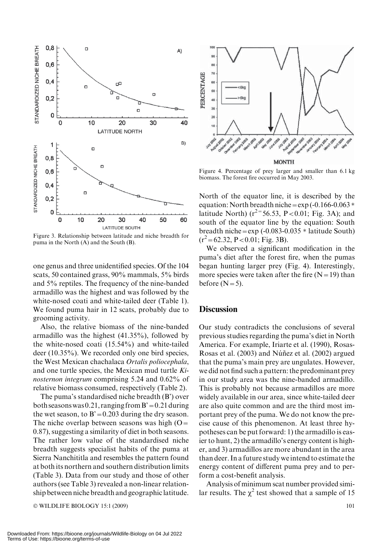

Figure 3. Relationship between latitude and niche breadth for puma in the North (A) and the South (B).

one genus and three unidentified species. Of the 104 scats, 50 contained grass, 90% mammals, 5% birds and 5% reptiles. The frequency of the nine-banded armadillo was the highest and was followed by the white-nosed coati and white-tailed deer (Table 1). We found puma hair in 12 scats, probably due to grooming activity.

Also, the relative biomass of the nine-banded armadillo was the highest (41.35%), followed by the white-nosed coati (15.54%) and white-tailed deer (10.35%). We recorded only one bird species, the West Mexican chachalaca Ortalis poliocephala, and one turtle species, the Mexican mud turtle Kinosternon integrum comprising 5.24 and 0.62% of relative biomass consumed, respectively (Table 2).

The puma's standardised niche breadth (B') over both seasons was 0.21, ranging from  $B' = 0.21$  during the wet season, to  $B' = 0.203$  during the dry season. The niche overlap between seasons was high  $(O=$ 0.87), suggesting a similarity of diet in both seasons. The rather low value of the standardised niche breadth suggests specialist habits of the puma at Sierra Nanchititla and resembles the pattern found at both its northern and southern distribution limits (Table 3). Data from our study and those of other authors (see Table 3) revealed a non-linear relationship between niche breadth and geographiclatitude.

 $\odot$  WILDLIFE BIOLOGY 15:1 (2009) 101



Figure 4. Percentage of prey larger and smaller than 6.1 kg biomass. The forest fire occurred in May 2003.

North of the equator line, it is described by the equation: North breadth niche =  $\exp(-0.166 - 0.063 \ast$ latitude North) ( $r^2$ <sup>=</sup>56.53, P<0.01; Fig. 3A); and south of the equator line by the equation: South breadth niche =  $\exp(-0.083-0.035 \times \text{latitude South})$  $(r^2 = 62.32, P < 0.01;$  Fig. 3B).

We observed a significant modification in the puma's diet after the forest fire, when the pumas began hunting larger prey (Fig. 4). Interestingly, more species were taken after the fire  $(N=19)$  than before  $(N=5)$ .

#### **Discussion**

Our study contradicts the conclusions of several previous studies regarding the puma's diet in North America. For example, Iriarte et al. (1990), Rosas-Rosas et al. (2003) and Núñez et al. (2002) argued that the puma's main prey are ungulates. However, we did not find such a pattern: the predominant prey in our study area was the nine-banded armadillo. This is probably not because armadillos are more widely available in our area, since white-tailed deer are also quite common and are the third most important prey of the puma. We do not know the precise cause of this phenomenon. At least three hypotheses can be put forward: 1) the armadillo is easier to hunt, 2) the armadillo's energy content is higher, and 3) armadillos are more abundant in the area than deer. In a future study we intend to estimate the energy content of different puma prey and to perform a cost-benefit analysis.

Analysis of minimum scat number provided similar results. The  $\chi^2$  test showed that a sample of 15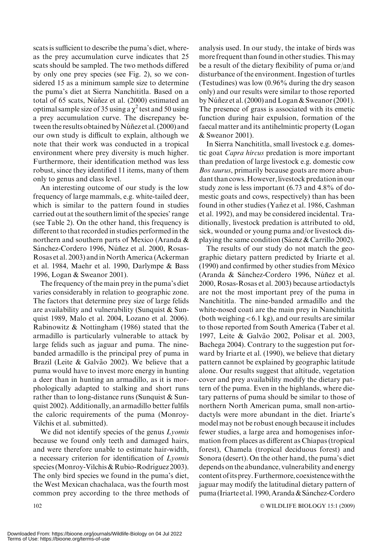scats is sufficient to describe the puma's diet, whereas the prey accumulation curve indicates that 25 scats should be sampled. The two methods differed by only one prey species (see Fig. 2), so we considered 15 as a minimum sample size to determine the puma's diet at Sierra Nanchititla. Based on a total of 65 scats, Núñez et al. (2000) estimated an optimal sample size of 35 using a  $\chi^2$  test and 50 using a prey accumulation curve. The discrepancy between the results obtained by Núñez et al. (2000) and our own study is difficult to explain, although we note that their work was conducted in a tropical environment where prey diversity is much higher. Furthermore, their identification method was less robust, since they identified 11 items, many of them only to genus and class level.

An interesting outcome of our study is the low frequency of large mammals, e.g. white-tailed deer, which is similar to the pattern found in studies carried out at the southern limit of the species' range (see Table 2). On the other hand, this frequency is different to that recorded in studies performed in the northern and southern parts of Mexico (Aranda & Sánchez-Cordero 1996, Núñez et al. 2000, Rosas-Rosas et al. 2003) and in North America (Ackerman et al. 1984, Maehr et al. 1990, Darlympe & Bass 1996, Logan & Sweanor 2001).

The frequency of the main prey in the puma's diet varies considerably in relation to geographic zone. The factors that determine prey size of large felids are availability and vulnerability (Sunquist & Sunquist 1989, Malo et al. 2004, Lozano et al. 2006). Rabinowitz & Nottingham (1986) stated that the armadillo is particularly vulnerable to attack by large felids such as jaguar and puma. The ninebanded armadillo is the principal prey of puma in Brazil (Leite & Galvão 2002). We believe that a puma would have to invest more energy in hunting a deer than in hunting an armadillo, as it is morphologically adapted to stalking and short runs rather than to long-distance runs (Sunquist & Sunquist 2002). Additionally, an armadillo better fulfils the caloric requirements of the puma (Monroy-Vilchis et al. submitted).

We did not identify species of the genus *Lyomis* because we found only teeth and damaged hairs, and were therefore unable to estimate hair-width, a necessary criterion for identification of Lyomis species (Monroy-Vilchis & Rubio-Rodríguez 2003). The only bird species we found in the puma's diet, the West Mexican chachalaca, was the fourth most common prey according to the three methods of analysis used. In our study, the intake of birds was more frequent than found in other studies. This may be a result of the dietary flexibility of puma or/and disturbance of the environment. Ingestion of turtles (Testudines) was low (0.96% during the dry season only) and our results were similar to those reported by Núñez et al. (2000) and Logan & Sweanor (2001). The presence of grass is associated with its emetic function during hair expulsion, formation of the faecal matter and its antihelmintic property (Logan & Sweanor 2001).

In Sierra Nanchititla, small livestock e.g. domestic goat Capra hircus predation is more important than predation of large livestock e.g. domestic cow Bos taurus, primarily because goats are more abundant than cows. However, livestock predation in our study zone is less important (6.73 and 4.8% of domestic goats and cows, respectively) than has been found in other studies (Yañez et al. 1986, Cashman et al. 1992), and may be considered incidental. Traditionally, livestock predation is attributed to old, sick, wounded or young puma and/or livestock displaying the same condition (Saenz & Carrillo 2002).

The results of our study do not match the geographic dietary pattern predicted by Iriarte et al.  $(1990)$  and confirmed by other studies from México (Aranda & Sánchez-Cordero 1996, Núñez et al. 2000, Rosas-Rosas et al. 2003) because artiodactyls are not the most important prey of the puma in Nanchititla. The nine-banded armadillo and the white-nosed coati are the main prey in Nanchititla (both weighing  $< 6.1$  kg), and our results are similar to those reported from South America (Taber et al. 1997, Leite & Galvão 2002, Polisar et al. 2003, Bachega 2004). Contrary to the suggestion put forward by Iriarte et al. (1990), we believe that dietary pattern cannot be explained by geographic latitude alone. Our results suggest that altitude, vegetation cover and prey availability modify the dietary pattern of the puma. Even in the highlands, where dietary patterns of puma should be similar to those of northern North American puma, small non-artiodactyls were more abundant in the diet. Iriarte's model may not be robust enough because it includes fewer studies, a large area and homogenises information from places as different as Chiapas (tropical forest), Chamela (tropical deciduous forest) and Sonora (desert). On the other hand, the puma's diet depends on the abundance, vulnerability and energy content ofits prey.Furthermore, coexistencewith the jaguar may modify the latitudinal dietary pattern of puma (Iriarte et al. 1990, Aranda & Sánchez-Cordero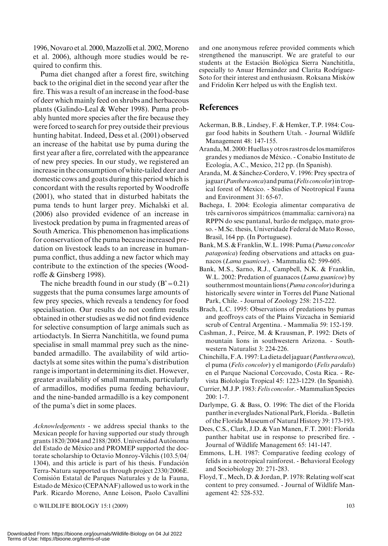1996, Novaro et al. 2000, Mazzolli et al. 2002, Moreno et al. 2006), although more studies would be required to confirm this.

Puma diet changed after a forest fire, switching back to the original diet in the second year after the fire. This was a result of an increase in the food-base of deer which mainly feed on shrubs and herbaceous plants (Galindo-Leal & Weber 1998). Puma probably hunted more species after the fire because they were forced to search for prey outside their previous hunting habitat. Indeed, Dess et al. (2001) observed an increase of the habitat use by puma during the first year after a fire, correlated with the appearance of new prey species. In our study, we registered an increase in the consumption of white-tailed deer and domestic cows and goats during this period which is concordant with the results reported by Woodroffe (2001), who stated that in disturbed habitats the puma tends to hunt larger prey. Michalski et al. (2006) also provided evidence of an increase in livestock predation by puma in fragmented areas of South America. This phenomenon has implications for conservation of the puma because increased predation on livestock leads to an increase in humanpuma conflict, thus adding a new factor which may contribute to the extinction of the species (Woodroffe & Ginsberg 1998).

The niche breadth found in our study  $(B' = 0.21)$ suggests that the puma consumes large amounts of few prey species, which reveals a tendency for food specialisation. Our results do not confirm results obtained in other studies as we did not find evidence for selective consumption of large animals such as artiodactyls. In Sierra Nanchititla, we found puma specialise in small mammal prey such as the ninebanded armadillo. The availability of wild artiodactyls at some sites within the puma's distribution range is important in determining its diet. However, greater availability of small mammals, particularly of armadillos, modifies puma feeding behaviour, and the nine-banded armadillo is a key component of the puma's diet in some places.

Acknowledgements - we address special thanks to the Mexican people for having supported our study through grants 1820/2004 and 2188/2005. Universidad Autónoma del Estado de México and PROMEP supported the doctorate scholarship to Octavio Monroy-Vilchis (103.5/04/ 1304), and this article is part of his thesis. Fundación Terra-Natura supported us through project 2330/2006E. Comisión Estatal de Parques Naturales y de la Fauna, Estado de México (CEPANAF) allowed us to work in the Park. Ricardo Moreno, Anne Loison, Paolo Cavallini

 $\odot$  WILDLIFE BIOLOGY 15:1 (2009) 103

and one anonymous referee provided comments which strengthened the manuscript. We are grateful to our students at the Estación Biológica Sierra Nanchititla, especially to Anuar Hernández and Clarita Rodríguez-Soto for their interest and enthusiasm. Roksana Misków and Fridolin Kerr helped us with the English text.

### **References**

- Ackerman, B.B., Lindsey, F. & Hemker, T.P. 1984: Cougar food habits in Southern Utah. - Journal Wildlife Management 48: 147-155.
- Aranda, M. 2000: Huellas y otros rastros de los mamíferos grandes y medianos de México. - Conabio Instituto de Ecología, A.C., Mexico, 212 pp. (In Spanish).
- Aranda, M. & Sánchez-Cordero, V. 1996: Prey spectra of jaguar (Panthera onca) and puma (Felis concolor) in tropical forest of Mexico. - Studies of Neotropical Fauna and Environment 31: 65-67.
- Bachega, I. 2004: Ecologia alimentar comparativa de três carnívoros simpátricos (mammalia: carnivora) na RPPN do sesc pantanal, barão de melgaço, mato grosso. - M.Sc. thesis, Univeridade Federal de Mato Rosso, Brasil, 164 pp. (In Portuguese).
- Bank,M.S. & Franklin,W.L. 1998: Puma (Puma concolor patagonica) feeding observations and attacks on guanacos (Lama guanicoe). - Mammalia 62: 599-605.
- Bank, M.S., Sarno, R.J., Campbell, N.K. & Franklin, W.L. 2002: Predation of guanacos (Lama guanicoe) by southernmost mountain lions (*Puma concolor*) during a historically severe winter in Torres del Piane National Park, Chile. - Journal of Zoology 258: 215-222.
- Brach, L.C. 1995: Observations of predations by pumas and geoffroys cats of the Plains Vizcacha in Semiarid scrub of Central Argentina. - Mammalia 59: 152-159.
- Cashman, J., Peirce, M. & Krausman, P. 1992: Diets of mountain lions in southwestern Arizona. - Southwestern Naturalist 3: 224-226.
- Chinchilla,F.A. 1997:La dieta deljaguar (Panthera onca), el puma (Felis concolor) y el manigordo (Felis pardalis) en el Parque Nacional Corcovado, Costa Rica. - Revista Biolología Tropical 45: 1223-1229. (In Spanish).
- Currier, M.J.P. 1983: Felis concolor. Mammalian Species 200: 1-7.
- Darlympe, G. & Bass, O. 1996: The diet of the Florida panther in everglades National Park, Florida. - Bulletin of the Florida Museum of Natural History 39: 173-193.
- Dees, C.S., Clark, J.D. & Van Manen, F.T. 2001: Florida panther habitat use in response to prescribed fire. - Journal of Wildlife Management 65: 141-147.
- Emmons, L.H. 1987: Comparative feeding ecology of felids in a neotropical rainforest. - Behavioral Ecology and Sociobiology 20: 271-283.
- Floyd, T., Mech, D. & Jordan, P. 1978: Relating wolf scat content to prey consumed. - Journal of Wildlife Management 42: 528-532.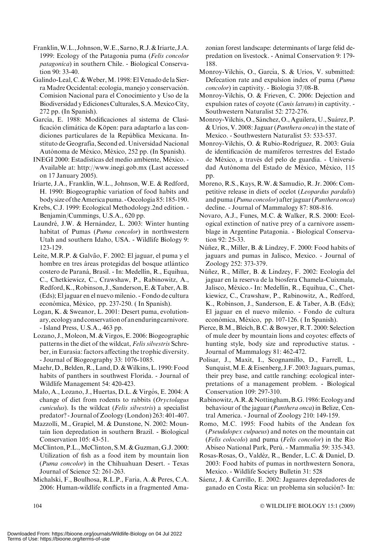- Franklin,W.L., Johnson,W.E., Sarno,R.J.& Iriarte, J.A. 1999: Ecology of the Patagonia puma (Felis concolor patagonica) in southern Chile. - Biological Conservation 90: 33-40.
- Galindo-Leal, C. & Weber, M. 1998: El Venado de la Sierra Madre Occidental: ecologia, manejo y conservación. Comision Nacional para el Conocimiento y Uso de la Biodiversidad y Ediciones Culturales, S.A.Mexico City, 272 pp. (In Spanish).
- García, E. 1988: Modificaciones al sistema de Clasificación climática de Köpen: para adaptarlo a las condiciones particulares de la República Mexicana. Instituto de Geografía, Second ed. Universidad Nacional Autónoma de México, México, 252 pp. (In Spanish).
- INEGI 2000: Estadísticas del medio ambiente, México. -Available at: http://www.inegi.gob.mx (Last accessed on 17 January 2005).
- Iriarte, J.A., Franklin, W.L., Johnson, W.E. & Redford, H. 1990: Biogeographic variation of food habits and body size of theAmerica puma. -Oecologia 85: 185-190.
- Krebs, C.J. 1999: Ecological Methodology.2nd edition. Benjamin/Cummings, U.S.A., 620 pp.
- Laundré, J.W. & Hernández, L. 2003: Winter hunting habitat of Pumas (Puma concolor) in northwestern Utah and southern Idaho, USA. - Wildlife Biology 9: 123-129.
- Leite, M.R.P. & Galvão, F. 2002: El jaguar, el puma y el hombre en tres áreas protegidas del bosque atlántico costero de Paraná, Brasil. - In: Medellín, R., Equihua, C., Chetkiewicz, C., Crawshaw, P., Rabinowitz, A., Redford,K.,Robinson, J., Sanderson,E.&Taber,A.B. (Eds); El jaguar en el nuevo milenio. - Fondo de cultura económica, México, pp. 237-250. (In Spanish).
- Logan, K. & Sweanor, L. 2001: Desert puma, evolutionary,ecology and conservation of an enduringcarnivore. - Island Press, U.S.A., 463 pp.
- Lozano, J.,Moleon,M. & Virgos, E. 2006: Biogeographic patterns in the diet of the wildcat, Felis silvestris Schreber, in Eurasia: factors affecting the trophic diversity. - Journal of Biogeography 33: 1076-1085.
- Maehr, D., Belden, R., Land, D. & Wilkins, L. 1990: Food habits of panthers in southwest Florida. - Journal of Wildlife Management 54: 420-423.
- Malo, A., Lozano, J., Huertas, D.L. & Virgós, E. 2004: A change of diet from rodents to rabbits (Oryctolagus cuniculus). Is the wildcat (Felis silvestris) a specialist predator? - Journal of Zoology (London) 263: 401-407.
- Mazzolli, M., Grapiel, M. & Dunstone, N. 2002: Mountain lion depredation in southern Brazil. - Biological Conservation 105: 43-51.
- McClinton, P.L., McClinton, S.M. & Guzman, G.J. 2000: Utilization of fish as a food item by mountain lion (Puma concolor) in the Chihuahuan Desert. - Texas Journal of Science 52: 261-263.
- Michalski, F., Boulhosa, R.L.P., Faria, A. & Peres, C.A. 2006: Human-wildlife conflicts in a fragmented Ama-

zonian forest landscape: determinants of large felid depredation on livestock. - Animal Conservation 9: 179- 188.

- Monroy-Vilchis, O., García, S. & Urios, V. submitted: Defecation rate and expulsion index of puma (Puma concolor) in captivity. - Biologia 37/08-B.
- Monroy-Vilchis, O. & Frieven, C. 2006: Dejection and expulsion rates of coyote (Canis latrans) in captivity. - Southwestern Naturalist 52: 272-276.
- Monroy-Vilchis, O., Sánchez, O., Aguilera, U., Suárez, P. & Urios, V. 2008: Jaguar (Panthera onca) in the state of Mexico. - Southwestern Naturalist 53: 533-537.
- Monroy-Vilchis, O. & Rubio-Rodríguez, R. 2003: Guía de identificación de mamíferos terrestres del Estado de México, a través del pelo de guardia. - Universidad Autónoma del Estado de México, México, 115 pp.
- Moreno, R.S., Kays, R.W. & Samudio, R. Jr. 2006: Competitive release in diets of ocelot (Leopardus pardalis) and puma (Puma concolor) after jaguar (Panthera onca) decline. - Journal of Mammalogy 87: 808-816.
- Novaro, A.J., Funes, M.C. & Walker, R.S. 2000: Ecological extinction of native prey of a carnivore assemblage in Argentine Patagonia. - Biological Conservation 92: 25-33.
- Núñez, R., Miller, B. & Lindzey, F. 2000: Food habits of jaguars and pumas in Jalisco, Mexico. - Journal of Zoology 252: 373-379.
- Núñez, R., Miller, B. & Lindzey, F. 2002: Ecología del jaguar en la reserva de la biosfera Chamela-Cuixmala, Jalisco, México.- In: Medellín, R., Equihua, C., Chetkiewicz, C., Crawshaw, P., Rabinowitz, A., Redford, K., Robinson, J., Sanderson, E. & Taber, A.B. (Eds); El jaguar en el nuevo milenio. - Fondo de cultura económica, México, pp. 107-126. (In Spanish).
- Pierce, B.M., Bleich, B.C. & Bowyer, R.T. 2000: Selection of mule deer by mountain lions and coyotes: effects of hunting style, body size and reproductive status. - Journal of Mammalogy 81: 462-472.
- Polisar, J., Maxit, I., Scognamillo, D., Farrell, L., Sunquist,M.E.&Eisenberg, J.F. 2003: Jaguars, pumas, their prey base, and cattle ranching: ecological interpretations of a management problem. - Biological Conservation 109: 297-310.
- Rabinowitz, A.R. & Nottingham, B.G. 1986: Ecology and behaviour of the jaguar (Panthera onca) in Belize, Central America. - Journal of Zoology 210: 149-159.
- Romo, M.C. 1995: Food habits of the Andean fox (Pseudalopex culpaeus) and notes on the mountain cat (Felis colocolo) and puma (Felis concolor) in the Rio Abiseo National Park, Perú. - Mammalia 59: 335-343.
- Rosas-Rosas, O., Valdéz, R., Bender, L.C. & Daniel, D. 2003: Food habits of pumas in northwestern Sonora, Mexico. - Wildlife Society Bulletin 31: 528
- Sáenz, J. & Carrillo, E. 2002: Jaguares depredadores de ganado en Costa Rica: un problema sin solución?- In: